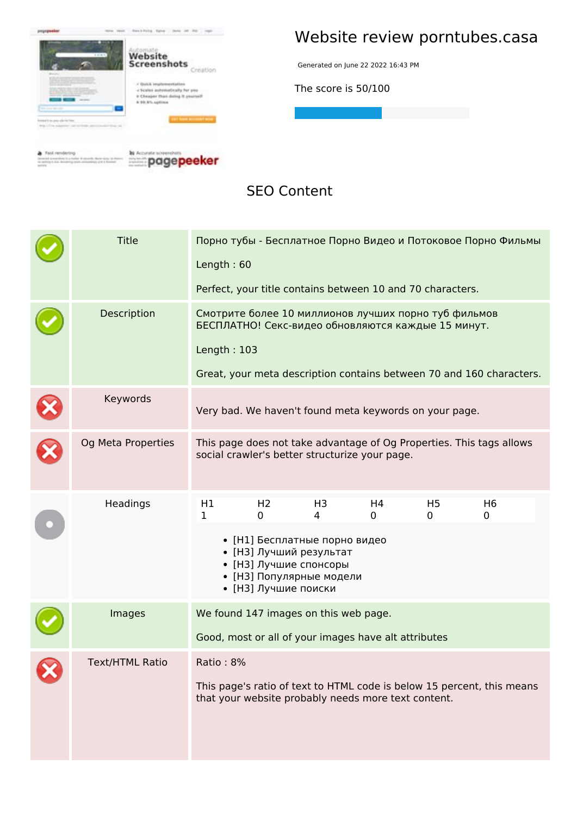

## **Website review porntubes.casa**

Generated on June 22 2022 16:43 PM

**The score is 50/100**

**SEO Content**

| <b>Title</b>           | Порно тубы - Бесплатное Порно Видео и Потоковое Порно Фильмы<br>Length: 60<br>Perfect, your title contains between 10 and 70 characters.                                                                                                                           |  |  |  |
|------------------------|--------------------------------------------------------------------------------------------------------------------------------------------------------------------------------------------------------------------------------------------------------------------|--|--|--|
| Description            | Смотрите более 10 миллионов лучших порно туб фильмов<br>БЕСПЛАТНО! Секс-видео обновляются каждые 15 минут.<br>Length: $103$<br>Great, your meta description contains between 70 and 160 characters.                                                                |  |  |  |
| Keywords               | Very bad. We haven't found meta keywords on your page.                                                                                                                                                                                                             |  |  |  |
| Og Meta Properties     | This page does not take advantage of Og Properties. This tags allows<br>social crawler's better structurize your page.                                                                                                                                             |  |  |  |
| Headings               | H1<br>H <sub>2</sub><br>H <sub>3</sub><br>H4<br>H <sub>5</sub><br>H <sub>6</sub><br>$\mathbf 1$<br>0<br>4<br>0<br>0<br>0<br>• [Н1] Бесплатные порно видео<br>• [НЗ] Лучший результат<br>• [НЗ] Лучшие спонсоры<br>• [НЗ] Популярные модели<br>• [НЗ] Лучшие поиски |  |  |  |
| Images                 | We found 147 images on this web page.<br>Good, most or all of your images have alt attributes                                                                                                                                                                      |  |  |  |
| <b>Text/HTML Ratio</b> | Ratio: 8%<br>This page's ratio of text to HTML code is below 15 percent, this means<br>that your website probably needs more text content.                                                                                                                         |  |  |  |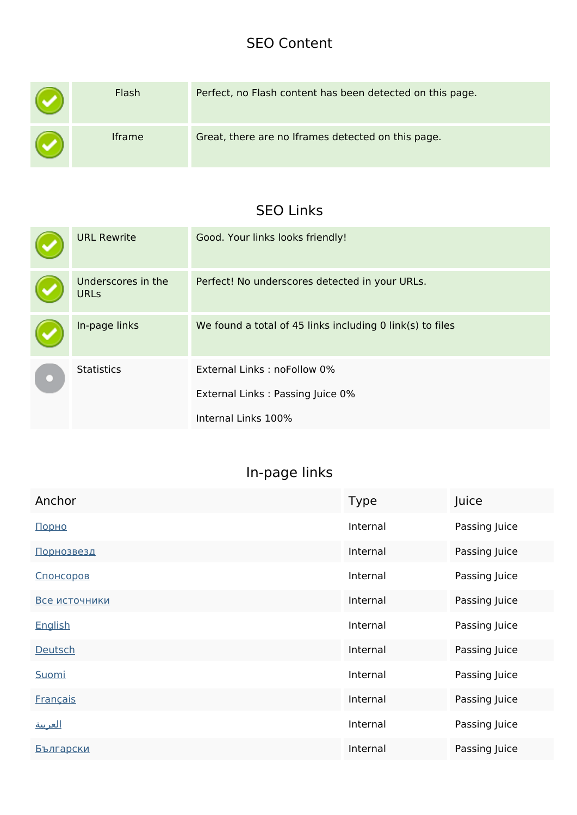#### **SEO Content**

|   | Flash         | Perfect, no Flash content has been detected on this page. |
|---|---------------|-----------------------------------------------------------|
| w | <b>Iframe</b> | Great, there are no Iframes detected on this page.        |

#### **SEO Links**

| <b>URL Rewrite</b>                | Good. Your links looks friendly!                                                       |  |  |
|-----------------------------------|----------------------------------------------------------------------------------------|--|--|
| Underscores in the<br><b>URLs</b> | Perfect! No underscores detected in your URLs.                                         |  |  |
| In-page links                     | We found a total of 45 links including 0 link(s) to files                              |  |  |
| <b>Statistics</b>                 | External Links: noFollow 0%<br>External Links: Passing Juice 0%<br>Internal Links 100% |  |  |

## **In-page links**

| Anchor            | <b>Type</b> | Juice         |
|-------------------|-------------|---------------|
| Порно             | Internal    | Passing Juice |
| <u>Порнозвезд</u> | Internal    | Passing Juice |
| Спонсоров         | Internal    | Passing Juice |
| Все источники     | Internal    | Passing Juice |
| English           | Internal    | Passing Juice |
| Deutsch           | Internal    | Passing Juice |
| Suomi             | Internal    | Passing Juice |
| <b>Français</b>   | Internal    | Passing Juice |
| <u>العربية</u>    | Internal    | Passing Juice |
| <u>Български</u>  | Internal    | Passing Juice |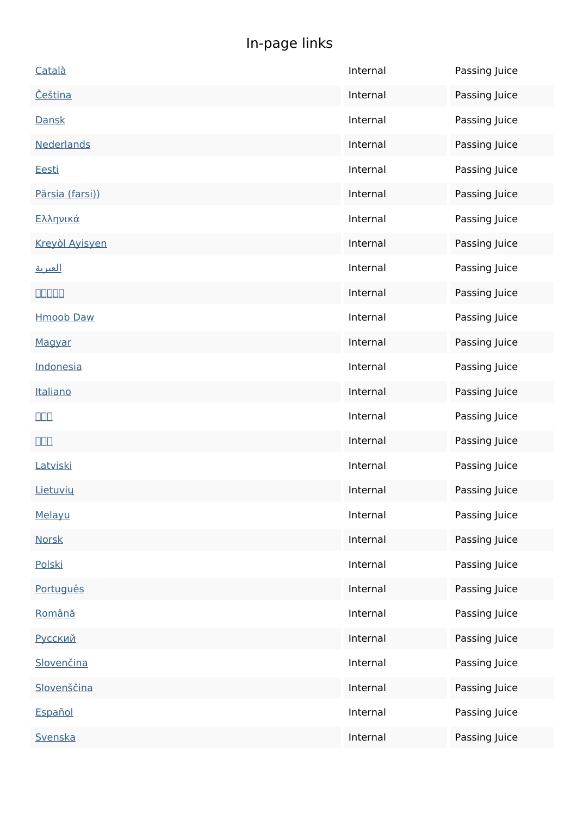# **In-page links**

| Català                  | Internal | Passing Juice |
|-------------------------|----------|---------------|
| <u>Čeština</u>          | Internal | Passing Juice |
| Dansk                   | Internal | Passing Juice |
| Nederlands              | Internal | Passing Juice |
| <u>Eesti</u>            | Internal | Passing Juice |
| Pärsia (farsi))         | Internal | Passing Juice |
| <u>Ελληνικά</u>         | Internal | Passing Juice |
| Kreyòl Ayisyen          | Internal | Passing Juice |
| <u>العبرية</u>          | Internal | Passing Juice |
| <b>QQQQQ</b>            | Internal | Passing Juice |
| <b>Hmoob Daw</b>        | Internal | Passing Juice |
| Magyar                  | Internal | Passing Juice |
| Indonesia               | Internal | Passing Juice |
| Italiano                | Internal | Passing Juice |
| $\square\square\square$ | Internal | Passing Juice |
| $\Box \Box \Box$        | Internal | Passing Juice |
| Latviski                | Internal | Passing Juice |
|                         |          |               |
| Lietuvių                | Internal | Passing Juice |
| Melayu                  | Internal | Passing Juice |
| <b>Norsk</b>            | Internal | Passing Juice |
| Polski                  | Internal | Passing Juice |
| Português               | Internal | Passing Juice |
| Română                  | Internal | Passing Juice |
| Русский                 | Internal | Passing Juice |
| Slovenčina              | Internal | Passing Juice |
| Slovenščina             | Internal | Passing Juice |
| Español                 | Internal | Passing Juice |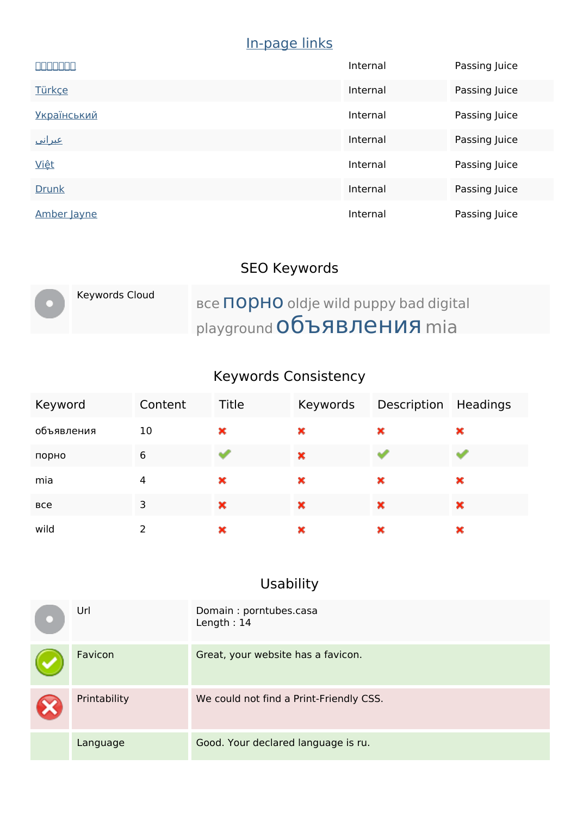## **In-page links**

| <u>sisisisisisi</u> | Internal | Passing Juice |
|---------------------|----------|---------------|
| <b>Türkçe</b>       | Internal | Passing Juice |
| <b>Український</b>  | Internal | Passing Juice |
| <u>عبراني</u>       | Internal | Passing Juice |
| <b>Việt</b>         | Internal | Passing Juice |
| <b>Drunk</b>        | Internal | Passing Juice |
| Amber Jayne         | Internal | Passing Juice |

# **SEO Keywords**

| Keywords Cloud | <b>BCE TODHO oldje wild puppy bad digital</b> |
|----------------|-----------------------------------------------|
|                | playground Объявления mia                     |

## **Keywords Consistency**

| Keyword    | Content | Title | Keywords | Description | Headings |
|------------|---------|-------|----------|-------------|----------|
| объявления | 10      | ×     | ×        | ×           | ×        |
| порно      | 6       |       | ×        |             |          |
| mia        | 4       | ×     | ×        | ×           | ×        |
| <b>BCe</b> | 3       | ×     | ×        | ×           | ×        |
| wild       |         | ×     | ×        | ×           | ×        |

# **Usability**

| Url          | Domain: porntubes.casa<br>Length: 14    |
|--------------|-----------------------------------------|
| Favicon      | Great, your website has a favicon.      |
| Printability | We could not find a Print-Friendly CSS. |
| Language     | Good. Your declared language is ru.     |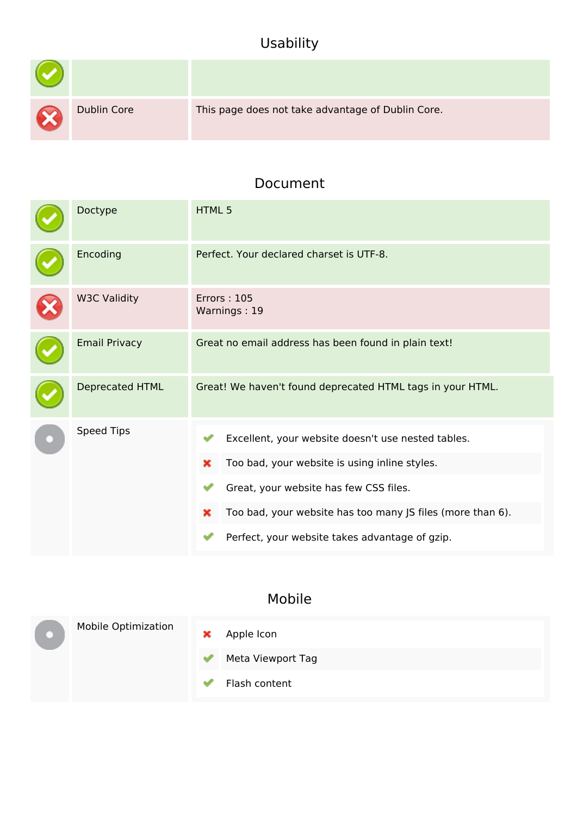## **Usability**

| X | <b>Dublin Core</b> | This page does not take advantage of Dublin Core. |
|---|--------------------|---------------------------------------------------|

#### **Document**

| Doctype              | <b>HTML5</b>                                                                                                                                                                                                                                                            |  |  |
|----------------------|-------------------------------------------------------------------------------------------------------------------------------------------------------------------------------------------------------------------------------------------------------------------------|--|--|
| Encoding             | Perfect. Your declared charset is UTF-8.                                                                                                                                                                                                                                |  |  |
| <b>W3C Validity</b>  | <b>Errors: 105</b><br>Warnings: 19                                                                                                                                                                                                                                      |  |  |
| <b>Email Privacy</b> | Great no email address has been found in plain text!                                                                                                                                                                                                                    |  |  |
| Deprecated HTML      | Great! We haven't found deprecated HTML tags in your HTML.                                                                                                                                                                                                              |  |  |
| Speed Tips           | Excellent, your website doesn't use nested tables.<br>Too bad, your website is using inline styles.<br>×<br>Great, your website has few CSS files.<br>Too bad, your website has too many JS files (more than 6).<br>×<br>Perfect, your website takes advantage of gzip. |  |  |

#### **Mobile**

|  | <b>Mobile Optimization</b> | × | Apple Icon        |
|--|----------------------------|---|-------------------|
|  |                            |   | Meta Viewport Tag |
|  |                            |   | Flash content     |